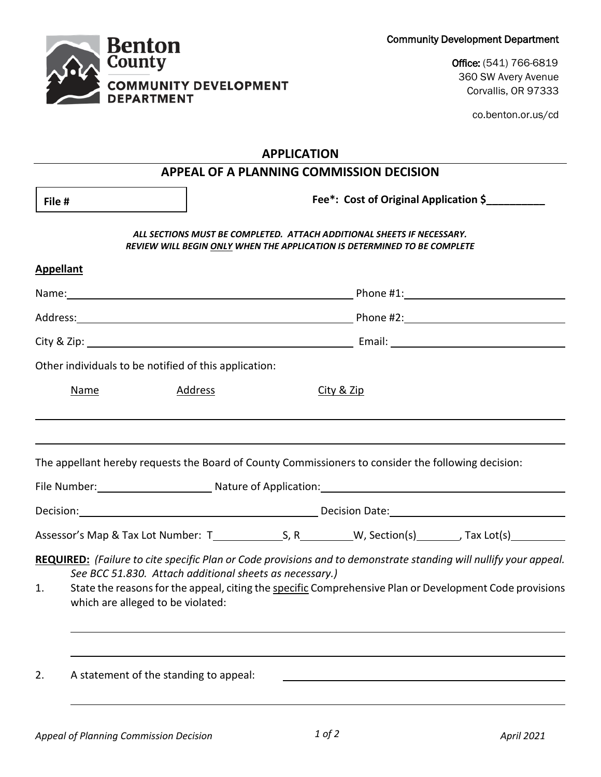

Office: (541) 766-6819 360 SW Avery Avenue Corvallis, OR 97333

co.benton.or.us/cd

## **APPLICATION**

| <b>APPEAL OF A PLANNING COMMISSION DECISION</b>                       |                                                                                                                                                                                                                                                                                                                              |                                       |  |  |
|-----------------------------------------------------------------------|------------------------------------------------------------------------------------------------------------------------------------------------------------------------------------------------------------------------------------------------------------------------------------------------------------------------------|---------------------------------------|--|--|
| File #                                                                |                                                                                                                                                                                                                                                                                                                              | Fee*: Cost of Original Application \$ |  |  |
|                                                                       | ALL SECTIONS MUST BE COMPLETED. ATTACH ADDITIONAL SHEETS IF NECESSARY.<br>REVIEW WILL BEGIN ONLY WHEN THE APPLICATION IS DETERMINED TO BE COMPLETE                                                                                                                                                                           |                                       |  |  |
| <b>Appellant</b>                                                      |                                                                                                                                                                                                                                                                                                                              |                                       |  |  |
|                                                                       |                                                                                                                                                                                                                                                                                                                              |                                       |  |  |
|                                                                       |                                                                                                                                                                                                                                                                                                                              |                                       |  |  |
|                                                                       |                                                                                                                                                                                                                                                                                                                              |                                       |  |  |
|                                                                       | Other individuals to be notified of this application:                                                                                                                                                                                                                                                                        |                                       |  |  |
| <b>Name</b>                                                           | <b>Address</b>                                                                                                                                                                                                                                                                                                               | City & Zip                            |  |  |
|                                                                       | The appellant hereby requests the Board of County Commissioners to consider the following decision:<br>File Number: Mature of Application: Mature of Application: Mature of Application:                                                                                                                                     |                                       |  |  |
| Decision: <u>Contract Communication</u> Decision Date: Decision Date: |                                                                                                                                                                                                                                                                                                                              |                                       |  |  |
|                                                                       |                                                                                                                                                                                                                                                                                                                              |                                       |  |  |
| 1.                                                                    | REQUIRED: (Failure to cite specific Plan or Code provisions and to demonstrate standing will nullify your appeal.<br>See BCC 51.830. Attach additional sheets as necessary.)<br>State the reasons for the appeal, citing the specific Comprehensive Plan or Development Code provisions<br>which are alleged to be violated: |                                       |  |  |
| 2.                                                                    | A statement of the standing to appeal:                                                                                                                                                                                                                                                                                       |                                       |  |  |